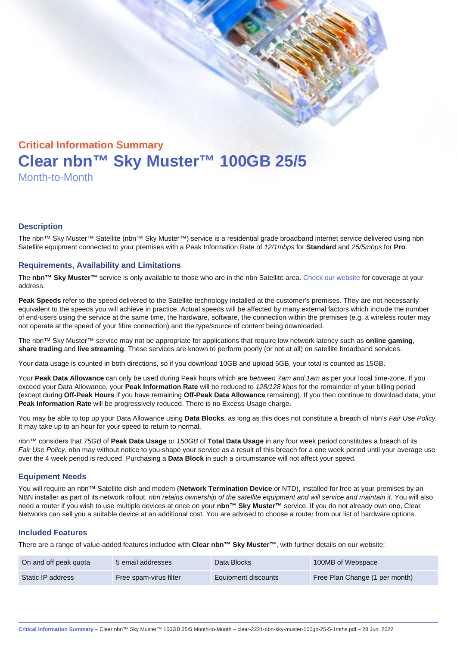# Critical Information Summary Clear nbn™ Sky Muster™ 100GB 25/5 Month-to-Month

#### **Description**

The nbn™ Sky Muster™ Satellite (nbn™ Sky Muster™) service is a residential grade broadband internet service delivered using nbn Satellite equipment connected to your premises with a Peak Information Rate of 12/1mbps for Standard and 25/5mbps for Pro.

#### Requirements, Availability and Limitations

The nbn™ Sky Muster™ service is only available to those who are in the nbn Satellite area. [Check our website](https://www.clear.com.au/residential/nbn-sky-muster/availability-coverage/) for coverage at your address.

Peak Speeds refer to the speed delivered to the Satellite technology installed at the customer's premises. They are not necessarily equivalent to the speeds you will achieve in practice. Actual speeds will be affected by many external factors which include the number of end-users using the service at the same time, the hardware, software, the connection within the premises (e.g. a wireless router may not operate at the speed of your fibre connection) and the type/source of content being downloaded.

The nbn™ Sky Muster™ service may not be appropriate for applications that require low network latency such as online gaming , share trading and live streaming . These services are known to perform poorly (or not at all) on satellite broadband services.

Your data usage is counted in both directions, so if you download 10GB and upload 5GB, your total is counted as 15GB.

Your Peak Data Allowance can only be used during Peak hours which are between 7am and 1am as per your local time-zone. If you exceed your Data Allowance, your Peak Information Rate will be reduced to 128/128 kbps for the remainder of your billing period (except during Off-Peak Hours if you have remaining Off-Peak Data Allowance remaining). If you then continue to download data, your Peak Information Rate will be progressively reduced. There is no Excess Usage charge.

You may be able to top up your Data Allowance using Data Blocks , as long as this does not constitute a breach of nbn's Fair Use Policy. It may take up to an hour for your speed to return to normal.

nbn™ considers that 75GB of Peak Data Usage or 150GB of Total Data Usage in any four week period constitutes a breach of its Fair Use Policy. nbn may without notice to you shape your service as a result of this breach for a one week period until your average use over the 4 week period is reduced. Purchasing a Data Block in such a circumstance will not affect your speed.

#### Equipment Needs

You will require an nbn™ Satellite dish and modem (Network Termination Device or NTD), installed for free at your premises by an NBN installer as part of its network rollout. nbn retains ownership of the satellite equipment and will service and maintain it. You will also need a router if you wish to use multiple devices at once on your nbn™ Sky Muster™ service. If you do not already own one, Clear Networks can sell you a suitable device at an additional cost. You are advised to choose a router from our list of hardware options.

#### Included Features

There are a range of value-added features included with Clear nbn™ Sky Muster™ , with further details on our website;

| On and off peak quota | 5 email addresses      | Data Blocks         | 100MB of Webspace              |
|-----------------------|------------------------|---------------------|--------------------------------|
| Static IP address     | Free spam-virus filter | Equipment discounts | Free Plan Change (1 per month) |